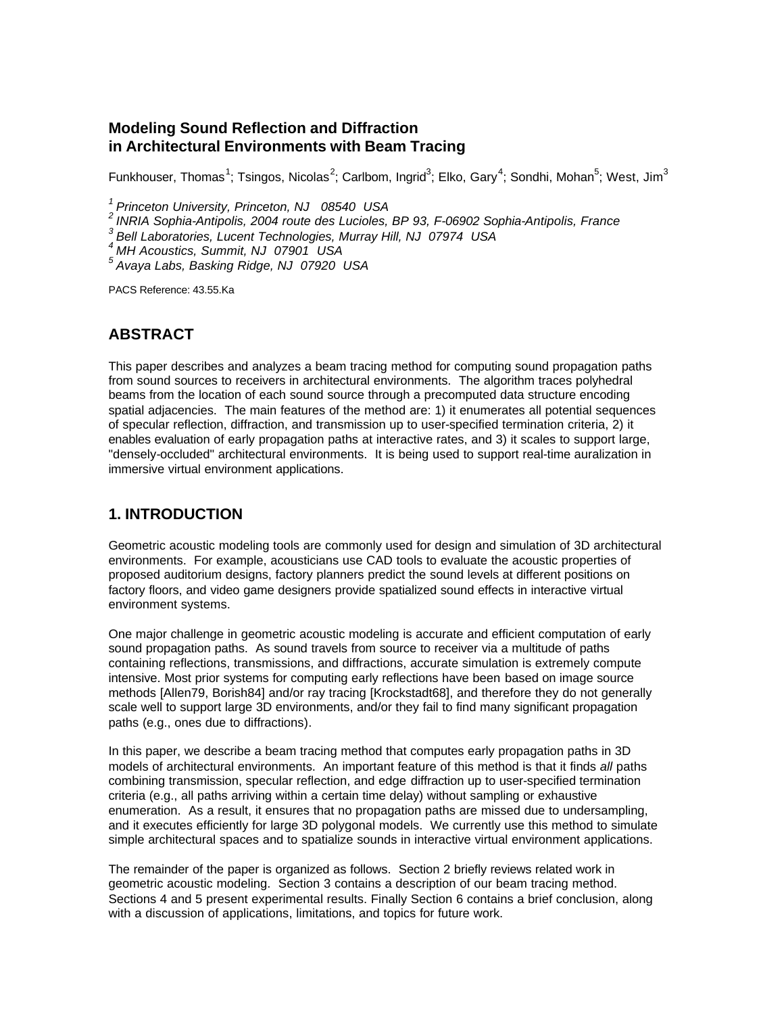#### **Modeling Sound Reflection and Diffraction in Architectural Environments with Beam Tracing**

Funkhouser, Thomas $^1$ ; Tsingos, Nicolas $^2$ ; Carlbom, Ingrid $^3$ ; Elko, Gary $^4$ ; Sondhi, Mohan $^5$ ; West, Jim $^3$ 

*<sup>1</sup>Princeton University, Princeton, NJ 08540 USA*

*<sup>2</sup>INRIA Sophia-Antipolis, 2004 route des Lucioles, BP 93, F-06902 Sophia-Antipolis, France*

*<sup>3</sup>Bell Laboratories, Lucent Technologies, Murray Hill, NJ 07974 USA*

*<sup>4</sup>MH Acoustics, Summit, NJ 07901 USA*

*<sup>5</sup>Avaya Labs, Basking Ridge, NJ 07920 USA*

PACS Reference: 43.55.Ka

#### **ABSTRACT**

This paper describes and analyzes a beam tracing method for computing sound propagation paths from sound sources to receivers in architectural environments. The algorithm traces polyhedral beams from the location of each sound source through a precomputed data structure encoding spatial adjacencies. The main features of the method are: 1) it enumerates all potential sequences of specular reflection, diffraction, and transmission up to user-specified termination criteria, 2) it enables evaluation of early propagation paths at interactive rates, and 3) it scales to support large, "densely-occluded" architectural environments. It is being used to support real-time auralization in immersive virtual environment applications.

### **1. INTRODUCTION**

Geometric acoustic modeling tools are commonly used for design and simulation of 3D architectural environments. For example, acousticians use CAD tools to evaluate the acoustic properties of proposed auditorium designs, factory planners predict the sound levels at different positions on factory floors, and video game designers provide spatialized sound effects in interactive virtual environment systems.

One major challenge in geometric acoustic modeling is accurate and efficient computation of early sound propagation paths. As sound travels from source to receiver via a multitude of paths containing reflections, transmissions, and diffractions, accurate simulation is extremely compute intensive. Most prior systems for computing early reflections have been based on image source methods [Allen79, Borish84] and/or ray tracing [Krockstadt68], and therefore they do not generally scale well to support large 3D environments, and/or they fail to find many significant propagation paths (e.g., ones due to diffractions).

In this paper, we describe a beam tracing method that computes early propagation paths in 3D models of architectural environments. An important feature of this method is that it finds *all* paths combining transmission, specular reflection, and edge diffraction up to user-specified termination criteria (e.g., all paths arriving within a certain time delay) without sampling or exhaustive enumeration. As a result, it ensures that no propagation paths are missed due to undersampling, and it executes efficiently for large 3D polygonal models. We currently use this method to simulate simple architectural spaces and to spatialize sounds in interactive virtual environment applications.

The remainder of the paper is organized as follows. Section 2 briefly reviews related work in geometric acoustic modeling. Section 3 contains a description of our beam tracing method. Sections 4 and 5 present experimental results. Finally Section 6 contains a brief conclusion, along with a discussion of applications, limitations, and topics for future work.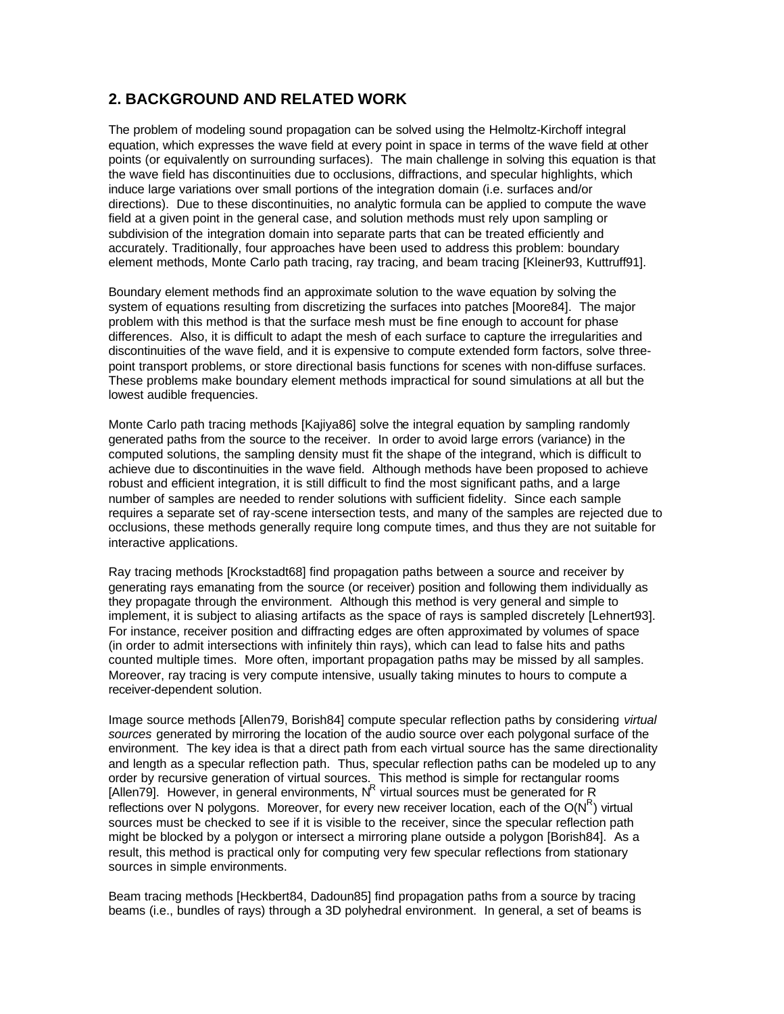## **2. BACKGROUND AND RELATED WORK**

The problem of modeling sound propagation can be solved using the Helmoltz-Kirchoff integral equation, which expresses the wave field at every point in space in terms of the wave field at other points (or equivalently on surrounding surfaces). The main challenge in solving this equation is that the wave field has discontinuities due to occlusions, diffractions, and specular highlights, which induce large variations over small portions of the integration domain (i.e. surfaces and/or directions). Due to these discontinuities, no analytic formula can be applied to compute the wave field at a given point in the general case, and solution methods must rely upon sampling or subdivision of the integration domain into separate parts that can be treated efficiently and accurately. Traditionally, four approaches have been used to address this problem: boundary element methods, Monte Carlo path tracing, ray tracing, and beam tracing [Kleiner93, Kuttruff91].

Boundary element methods find an approximate solution to the wave equation by solving the system of equations resulting from discretizing the surfaces into patches [Moore84]. The major problem with this method is that the surface mesh must be fine enough to account for phase differences. Also, it is difficult to adapt the mesh of each surface to capture the irregularities and discontinuities of the wave field, and it is expensive to compute extended form factors, solve threepoint transport problems, or store directional basis functions for scenes with non-diffuse surfaces. These problems make boundary element methods impractical for sound simulations at all but the lowest audible frequencies.

Monte Carlo path tracing methods [Kajiya86] solve the integral equation by sampling randomly generated paths from the source to the receiver. In order to avoid large errors (variance) in the computed solutions, the sampling density must fit the shape of the integrand, which is difficult to achieve due to discontinuities in the wave field. Although methods have been proposed to achieve robust and efficient integration, it is still difficult to find the most significant paths, and a large number of samples are needed to render solutions with sufficient fidelity. Since each sample requires a separate set of ray-scene intersection tests, and many of the samples are rejected due to occlusions, these methods generally require long compute times, and thus they are not suitable for interactive applications.

Ray tracing methods [Krockstadt68] find propagation paths between a source and receiver by generating rays emanating from the source (or receiver) position and following them individually as they propagate through the environment. Although this method is very general and simple to implement, it is subject to aliasing artifacts as the space of rays is sampled discretely [Lehnert93]. For instance, receiver position and diffracting edges are often approximated by volumes of space (in order to admit intersections with infinitely thin rays), which can lead to false hits and paths counted multiple times. More often, important propagation paths may be missed by all samples. Moreover, ray tracing is very compute intensive, usually taking minutes to hours to compute a receiver-dependent solution.

Image source methods [Allen79, Borish84] compute specular reflection paths by considering *virtual sources* generated by mirroring the location of the audio source over each polygonal surface of the environment. The key idea is that a direct path from each virtual source has the same directionality and length as a specular reflection path. Thus, specular reflection paths can be modeled up to any order by recursive generation of virtual sources. This method is simple for rectangular rooms [Allen79]. However, in general environments,  $N<sup>R</sup>$  virtual sources must be generated for R reflections over N polygons. Moreover, for every new receiver location, each of the O(N<sup>R</sup>) virtual sources must be checked to see if it is visible to the receiver, since the specular reflection path might be blocked by a polygon or intersect a mirroring plane outside a polygon [Borish84]. As a result, this method is practical only for computing very few specular reflections from stationary sources in simple environments.

Beam tracing methods [Heckbert84, Dadoun85] find propagation paths from a source by tracing beams (i.e., bundles of rays) through a 3D polyhedral environment. In general, a set of beams is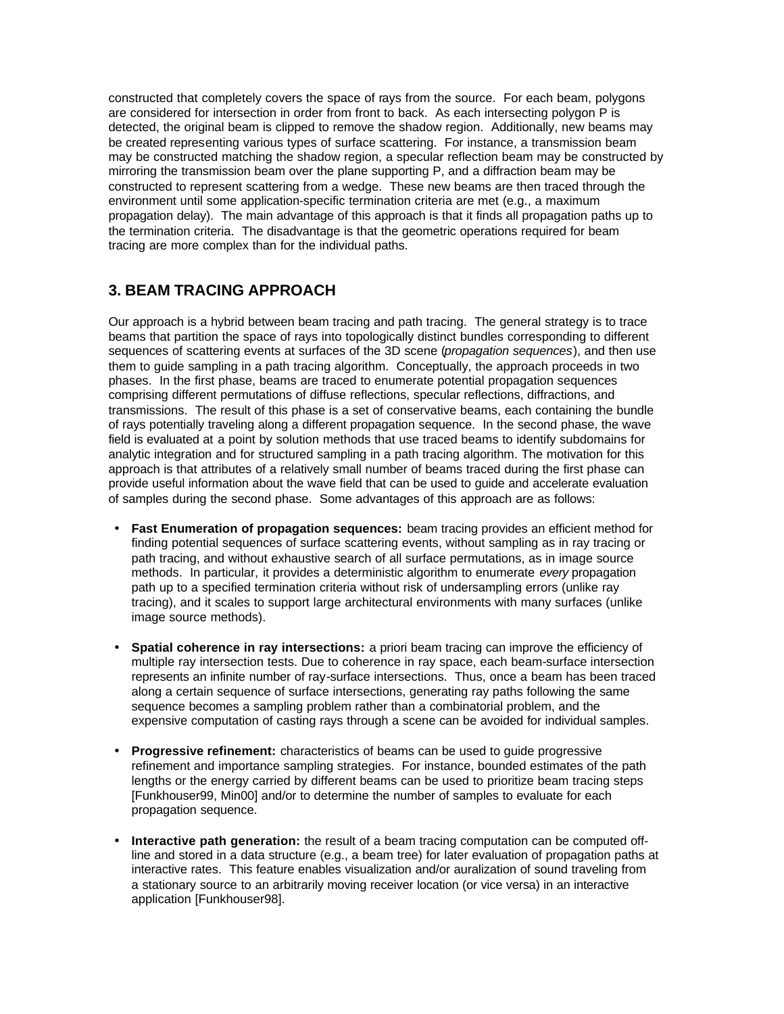constructed that completely covers the space of rays from the source. For each beam, polygons are considered for intersection in order from front to back. As each intersecting polygon P is detected, the original beam is clipped to remove the shadow region. Additionally, new beams may be created representing various types of surface scattering. For instance, a transmission beam may be constructed matching the shadow region, a specular reflection beam may be constructed by mirroring the transmission beam over the plane supporting P, and a diffraction beam may be constructed to represent scattering from a wedge. These new beams are then traced through the environment until some application-specific termination criteria are met (e.g., a maximum propagation delay). The main advantage of this approach is that it finds all propagation paths up to the termination criteria. The disadvantage is that the geometric operations required for beam tracing are more complex than for the individual paths.

## **3. BEAM TRACING APPROACH**

Our approach is a hybrid between beam tracing and path tracing. The general strategy is to trace beams that partition the space of rays into topologically distinct bundles corresponding to different sequences of scattering events at surfaces of the 3D scene (*propagation sequences*), and then use them to guide sampling in a path tracing algorithm. Conceptually, the approach proceeds in two phases. In the first phase, beams are traced to enumerate potential propagation sequences comprising different permutations of diffuse reflections, specular reflections, diffractions, and transmissions. The result of this phase is a set of conservative beams, each containing the bundle of rays potentially traveling along a different propagation sequence. In the second phase, the wave field is evaluated at a point by solution methods that use traced beams to identify subdomains for analytic integration and for structured sampling in a path tracing algorithm. The motivation for this approach is that attributes of a relatively small number of beams traced during the first phase can provide useful information about the wave field that can be used to guide and accelerate evaluation of samples during the second phase. Some advantages of this approach are as follows:

- **Fast Enumeration of propagation sequences:** beam tracing provides an efficient method for finding potential sequences of surface scattering events, without sampling as in ray tracing or path tracing, and without exhaustive search of all surface permutations, as in image source methods. In particular, it provides a deterministic algorithm to enumerate *every* propagation path up to a specified termination criteria without risk of undersampling errors (unlike ray tracing), and it scales to support large architectural environments with many surfaces (unlike image source methods).
- **Spatial coherence in ray intersections:** a priori beam tracing can improve the efficiency of multiple ray intersection tests. Due to coherence in ray space, each beam-surface intersection represents an infinite number of ray-surface intersections. Thus, once a beam has been traced along a certain sequence of surface intersections, generating ray paths following the same sequence becomes a sampling problem rather than a combinatorial problem, and the expensive computation of casting rays through a scene can be avoided for individual samples.
- **Progressive refinement:** characteristics of beams can be used to guide progressive refinement and importance sampling strategies. For instance, bounded estimates of the path lengths or the energy carried by different beams can be used to prioritize beam tracing steps [Funkhouser99, Min00] and/or to determine the number of samples to evaluate for each propagation sequence.
- **Interactive path generation:** the result of a beam tracing computation can be computed offline and stored in a data structure (e.g., a beam tree) for later evaluation of propagation paths at interactive rates. This feature enables visualization and/or auralization of sound traveling from a stationary source to an arbitrarily moving receiver location (or vice versa) in an interactive application [Funkhouser98].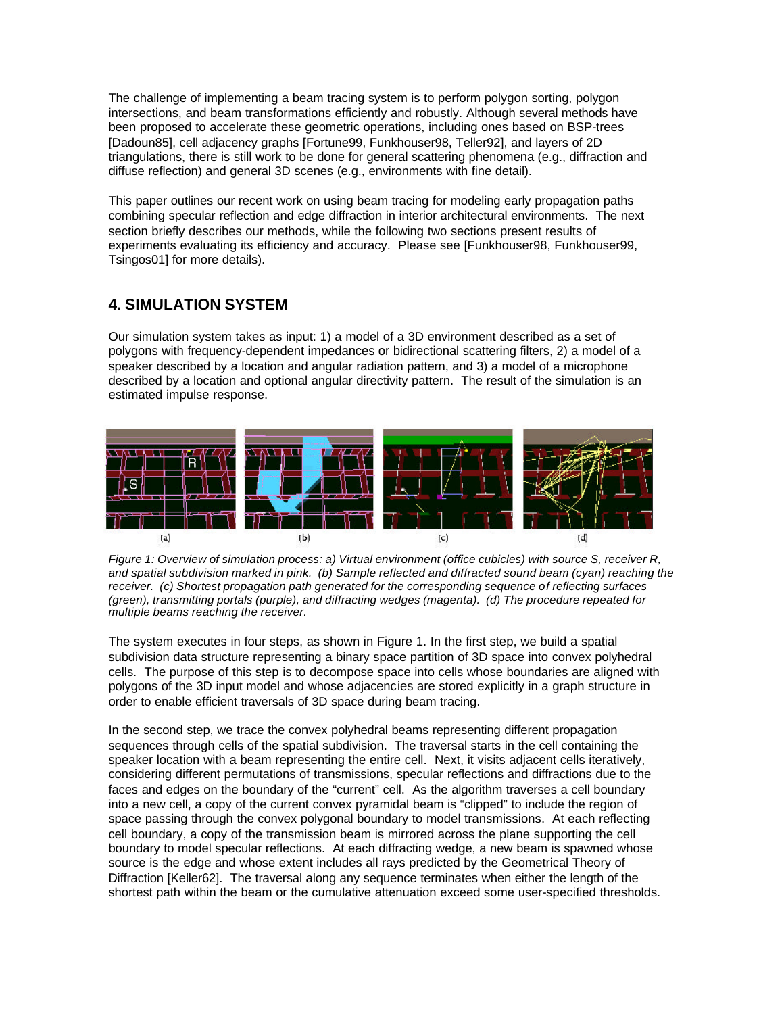The challenge of implementing a beam tracing system is to perform polygon sorting, polygon intersections, and beam transformations efficiently and robustly. Although several methods have been proposed to accelerate these geometric operations, including ones based on BSP-trees [Dadoun85], cell adjacency graphs [Fortune99, Funkhouser98, Teller92], and layers of 2D triangulations, there is still work to be done for general scattering phenomena (e.g., diffraction and diffuse reflection) and general 3D scenes (e.g., environments with fine detail).

This paper outlines our recent work on using beam tracing for modeling early propagation paths combining specular reflection and edge diffraction in interior architectural environments. The next section briefly describes our methods, while the following two sections present results of experiments evaluating its efficiency and accuracy. Please see [Funkhouser98, Funkhouser99, Tsingos01] for more details).

## **4. SIMULATION SYSTEM**

Our simulation system takes as input: 1) a model of a 3D environment described as a set of polygons with frequency-dependent impedances or bidirectional scattering filters, 2) a model of a speaker described by a location and angular radiation pattern, and 3) a model of a microphone described by a location and optional angular directivity pattern. The result of the simulation is an estimated impulse response.



*Figure 1: Overview of simulation process: a) Virtual environment (office cubicles) with source S, receiver R, and spatial subdivision marked in pink. (b) Sample reflected and diffracted sound beam (cyan) reaching the receiver. (c) Shortest propagation path generated for the corresponding sequence of reflecting surfaces (green), transmitting portals (purple), and diffracting wedges (magenta). (d) The procedure repeated for multiple beams reaching the receiver.*

The system executes in four steps, as shown in Figure 1. In the first step, we build a spatial subdivision data structure representing a binary space partition of 3D space into convex polyhedral cells. The purpose of this step is to decompose space into cells whose boundaries are aligned with polygons of the 3D input model and whose adjacencies are stored explicitly in a graph structure in order to enable efficient traversals of 3D space during beam tracing.

In the second step, we trace the convex polyhedral beams representing different propagation sequences through cells of the spatial subdivision. The traversal starts in the cell containing the speaker location with a beam representing the entire cell. Next, it visits adjacent cells iteratively, considering different permutations of transmissions, specular reflections and diffractions due to the faces and edges on the boundary of the "current" cell. As the algorithm traverses a cell boundary into a new cell, a copy of the current convex pyramidal beam is "clipped" to include the region of space passing through the convex polygonal boundary to model transmissions. At each reflecting cell boundary, a copy of the transmission beam is mirrored across the plane supporting the cell boundary to model specular reflections. At each diffracting wedge, a new beam is spawned whose source is the edge and whose extent includes all rays predicted by the Geometrical Theory of Diffraction [Keller62]. The traversal along any sequence terminates when either the length of the shortest path within the beam or the cumulative attenuation exceed some user-specified thresholds.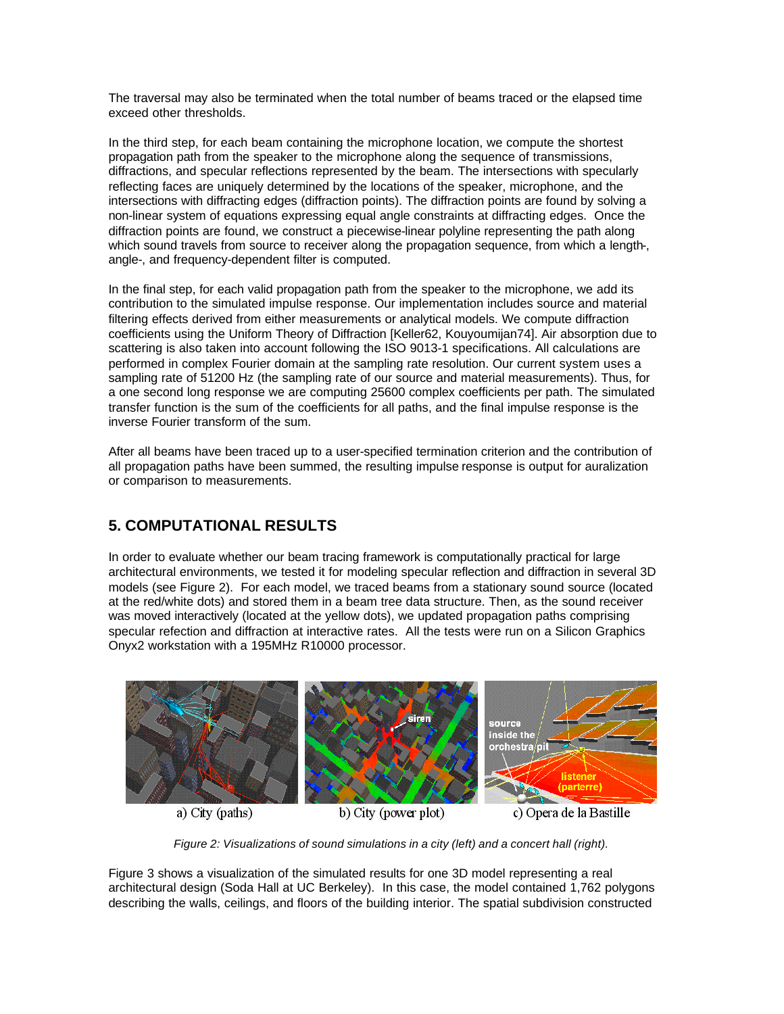The traversal may also be terminated when the total number of beams traced or the elapsed time exceed other thresholds.

In the third step, for each beam containing the microphone location, we compute the shortest propagation path from the speaker to the microphone along the sequence of transmissions, diffractions, and specular reflections represented by the beam. The intersections with specularly reflecting faces are uniquely determined by the locations of the speaker, microphone, and the intersections with diffracting edges (diffraction points). The diffraction points are found by solving a non-linear system of equations expressing equal angle constraints at diffracting edges. Once the diffraction points are found, we construct a piecewise-linear polyline representing the path along which sound travels from source to receiver along the propagation sequence, from which a length-, angle-, and frequency-dependent filter is computed.

In the final step, for each valid propagation path from the speaker to the microphone, we add its contribution to the simulated impulse response. Our implementation includes source and material filtering effects derived from either measurements or analytical models. We compute diffraction coefficients using the Uniform Theory of Diffraction [Keller62, Kouyoumijan74]. Air absorption due to scattering is also taken into account following the ISO 9013-1 specifications. All calculations are performed in complex Fourier domain at the sampling rate resolution. Our current system uses a sampling rate of 51200 Hz (the sampling rate of our source and material measurements). Thus, for a one second long response we are computing 25600 complex coefficients per path. The simulated transfer function is the sum of the coefficients for all paths, and the final impulse response is the inverse Fourier transform of the sum.

After all beams have been traced up to a user-specified termination criterion and the contribution of all propagation paths have been summed, the resulting impulse response is output for auralization or comparison to measurements.

# **5. COMPUTATIONAL RESULTS**

In order to evaluate whether our beam tracing framework is computationally practical for large architectural environments, we tested it for modeling specular reflection and diffraction in several 3D models (see Figure 2). For each model, we traced beams from a stationary sound source (located at the red/white dots) and stored them in a beam tree data structure. Then, as the sound receiver was moved interactively (located at the yellow dots), we updated propagation paths comprising specular refection and diffraction at interactive rates. All the tests were run on a Silicon Graphics Onyx2 workstation with a 195MHz R10000 processor.



a) City (paths)

b) City (power plot)

c) Opera de la Bastille

*Figure 2: Visualizations of sound simulations in a city (left) and a concert hall (right).*

Figure 3 shows a visualization of the simulated results for one 3D model representing a real architectural design (Soda Hall at UC Berkeley). In this case, the model contained 1,762 polygons describing the walls, ceilings, and floors of the building interior. The spatial subdivision constructed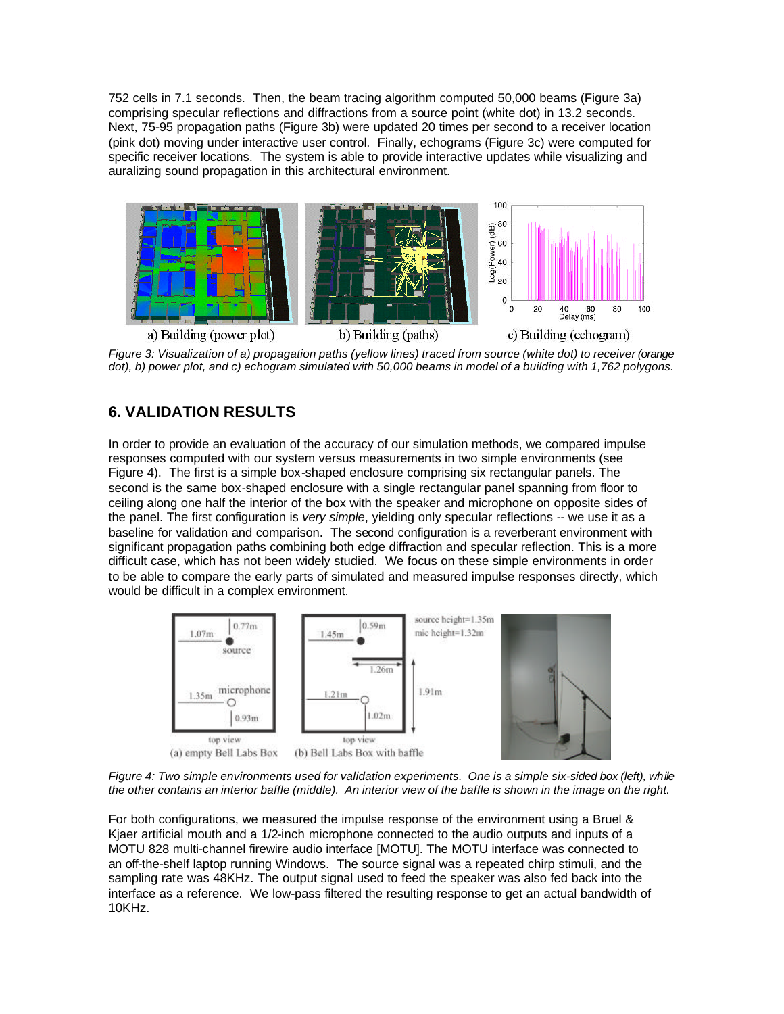752 cells in 7.1 seconds. Then, the beam tracing algorithm computed 50,000 beams (Figure 3a) comprising specular reflections and diffractions from a source point (white dot) in 13.2 seconds. Next, 75-95 propagation paths (Figure 3b) were updated 20 times per second to a receiver location (pink dot) moving under interactive user control. Finally, echograms (Figure 3c) were computed for specific receiver locations. The system is able to provide interactive updates while visualizing and auralizing sound propagation in this architectural environment.



*Figure 3: Visualization of a) propagation paths (yellow lines) traced from source (white dot) to receiver (orange dot), b) power plot, and c) echogram simulated with 50,000 beams in model of a building with 1,762 polygons.*

## **6. VALIDATION RESULTS**

In order to provide an evaluation of the accuracy of our simulation methods, we compared impulse responses computed with our system versus measurements in two simple environments (see Figure 4). The first is a simple box-shaped enclosure comprising six rectangular panels. The second is the same box-shaped enclosure with a single rectangular panel spanning from floor to ceiling along one half the interior of the box with the speaker and microphone on opposite sides of the panel. The first configuration is *very simple*, yielding only specular reflections -- we use it as a baseline for validation and comparison. The second configuration is a reverberant environment with significant propagation paths combining both edge diffraction and specular reflection. This is a more difficult case, which has not been widely studied. We focus on these simple environments in order to be able to compare the early parts of simulated and measured impulse responses directly, which would be difficult in a complex environment.



*Figure 4: Two simple environments used for validation experiments. One is a simple six-sided box (left), while the other contains an interior baffle (middle). An interior view of the baffle is shown in the image on the right.*

For both configurations, we measured the impulse response of the environment using a Bruel & Kjaer artificial mouth and a 1/2-inch microphone connected to the audio outputs and inputs of a MOTU 828 multi-channel firewire audio interface [MOTU]. The MOTU interface was connected to an off-the-shelf laptop running Windows. The source signal was a repeated chirp stimuli, and the sampling rate was 48KHz. The output signal used to feed the speaker was also fed back into the interface as a reference. We low-pass filtered the resulting response to get an actual bandwidth of 10KHz.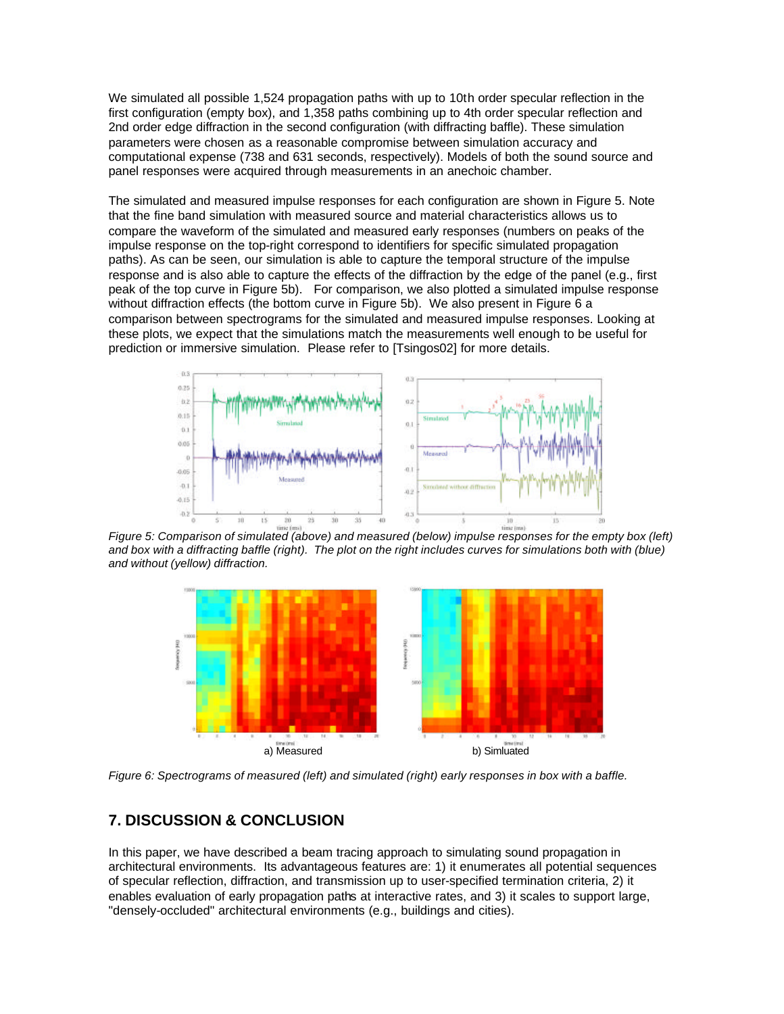We simulated all possible 1,524 propagation paths with up to 10th order specular reflection in the first configuration (empty box), and 1,358 paths combining up to 4th order specular reflection and 2nd order edge diffraction in the second configuration (with diffracting baffle). These simulation parameters were chosen as a reasonable compromise between simulation accuracy and computational expense (738 and 631 seconds, respectively). Models of both the sound source and panel responses were acquired through measurements in an anechoic chamber.

The simulated and measured impulse responses for each configuration are shown in Figure 5. Note that the fine band simulation with measured source and material characteristics allows us to compare the waveform of the simulated and measured early responses (numbers on peaks of the impulse response on the top-right correspond to identifiers for specific simulated propagation paths). As can be seen, our simulation is able to capture the temporal structure of the impulse response and is also able to capture the effects of the diffraction by the edge of the panel (e.g., first peak of the top curve in Figure 5b). For comparison, we also plotted a simulated impulse response without diffraction effects (the bottom curve in Figure 5b). We also present in Figure 6 a comparison between spectrograms for the simulated and measured impulse responses. Looking at these plots, we expect that the simulations match the measurements well enough to be useful for prediction or immersive simulation. Please refer to [Tsingos02] for more details.



 *Figure 5: Comparison of simulated (above) and measured (below) impulse responses for the empty box (left)*  and box with a diffracting baffle (right). The plot on the right includes curves for simulations both with (blue) *and without (yellow) diffraction.*



*Figure 6: Spectrograms of measured (left) and simulated (right) early responses in box with a baffle.* 

### **7. DISCUSSION & CONCLUSION**

In this paper, we have described a beam tracing approach to simulating sound propagation in architectural environments. Its advantageous features are: 1) it enumerates all potential sequences of specular reflection, diffraction, and transmission up to user-specified termination criteria, 2) it enables evaluation of early propagation paths at interactive rates, and 3) it scales to support large, "densely-occluded" architectural environments (e.g., buildings and cities).